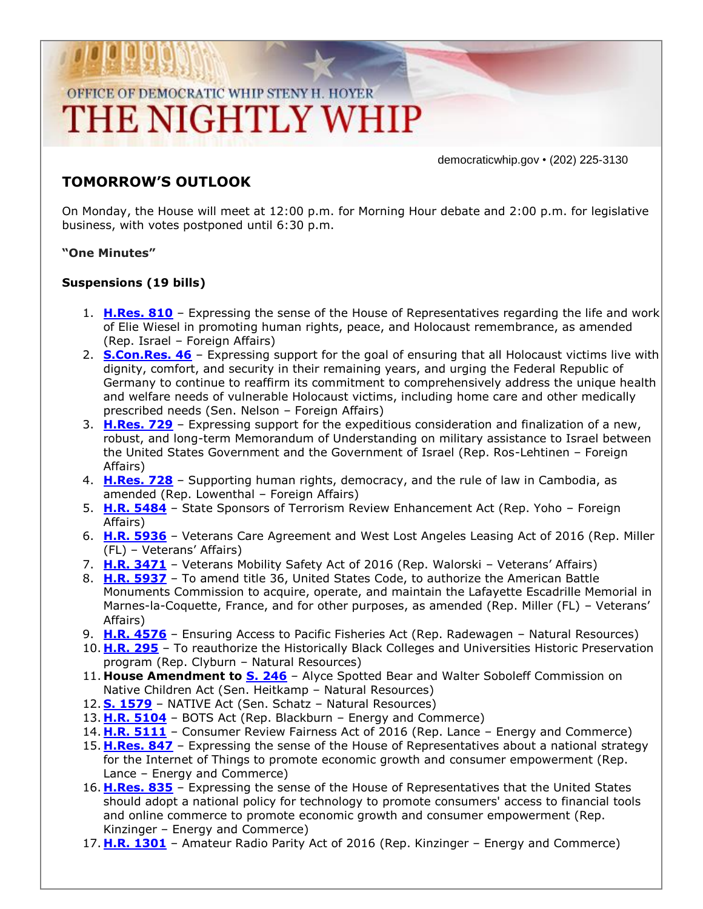# OFFICE OF DEMOCRATIC WHIP STENY H. HOYER THE NIGHTLY WHIP

democraticwhip.gov • (202) 225-3130

### **TOMORROW'S OUTLOOK**

On Monday, the House will meet at 12:00 p.m. for Morning Hour debate and 2:00 p.m. for legislative business, with votes postponed until 6:30 p.m.

#### **"One Minutes"**

#### **Suspensions (19 bills)**

- 1. **[H.Res. 810](http://thomas.loc.gov/cgi-bin/bdquery/z?d114:HRes810:/)** Expressing the sense of the House of Representatives regarding the life and work of Elie Wiesel in promoting human rights, peace, and Holocaust remembrance, as amended (Rep. Israel – Foreign Affairs)
- 2. **[S.Con.Res. 46](http://thomas.loc.gov/cgi-bin/bdquery/z?d114:SConRes46:/)** Expressing support for the goal of ensuring that all Holocaust victims live with dignity, comfort, and security in their remaining years, and urging the Federal Republic of Germany to continue to reaffirm its commitment to comprehensively address the unique health and welfare needs of vulnerable Holocaust victims, including home care and other medically prescribed needs (Sen. Nelson – Foreign Affairs)
- 3. **[H.Res. 729](http://thomas.loc.gov/cgi-bin/bdquery/z?d114:HRes729:/)** Expressing support for the expeditious consideration and finalization of a new, robust, and long-term Memorandum of Understanding on military assistance to Israel between the United States Government and the Government of Israel (Rep. Ros-Lehtinen – Foreign Affairs)
- 4. **[H.Res. 728](http://thomas.loc.gov/cgi-bin/bdquery/z?d114:HRes728:/)** Supporting human rights, democracy, and the rule of law in Cambodia, as amended (Rep. Lowenthal – Foreign Affairs)
- 5. **[H.R. 5484](http://thomas.loc.gov/cgi-bin/bdquery/z?d114:HR5484:/)** State Sponsors of Terrorism Review Enhancement Act (Rep. Yoho Foreign Affairs)
- 6. **[H.R. 5936](http://thomas.loc.gov/cgi-bin/bdquery/z?d114:HR5936:/)** Veterans Care Agreement and West Lost Angeles Leasing Act of 2016 (Rep. Miller (FL) – Veterans' Affairs)
- 7. **[H.R. 3471](http://thomas.loc.gov/cgi-bin/bdquery/z?d114:HR3471:/)** Veterans Mobility Safety Act of 2016 (Rep. Walorski Veterans' Affairs)
- 8. **[H.R. 5937](http://thomas.loc.gov/cgi-bin/bdquery/z?d114:HR5937:/)** To amend title 36, United States Code, to authorize the American Battle Monuments Commission to acquire, operate, and maintain the Lafayette Escadrille Memorial in Marnes-la-Coquette, France, and for other purposes, as amended (Rep. Miller (FL) – Veterans' Affairs)
- 9. **[H.R. 4576](http://thomas.loc.gov/cgi-bin/bdquery/z?d114:HR4576:/)** Ensuring Access to Pacific Fisheries Act (Rep. Radewagen Natural Resources)
- 10. **[H.R. 295](http://thomas.loc.gov/cgi-bin/bdquery/z?d114:HR295:/)** To reauthorize the Historically Black Colleges and Universities Historic Preservation program (Rep. Clyburn – Natural Resources)
- 11. House Amendment to **S. 246** Alyce Spotted Bear and Walter Soboleff Commission on Native Children Act (Sen. Heitkamp – Natural Resources)
- 12. **[S. 1579](http://thomas.loc.gov/cgi-bin/bdquery/z?d114:S1579:/)** NATIVE Act (Sen. Schatz Natural Resources)
- 13. **[H.R. 5104](http://thomas.loc.gov/cgi-bin/bdquery/z?d114:HR5104:/)** BOTS Act (Rep. Blackburn Energy and Commerce)
- 14. **[H.R. 5111](http://thomas.loc.gov/cgi-bin/bdquery/z?d114:HR5111:/)** Consumer Review Fairness Act of 2016 (Rep. Lance Energy and Commerce)
- 15. **[H.Res. 847](http://thomas.loc.gov/cgi-bin/bdquery/z?d114:HRes847:/)** Expressing the sense of the House of Representatives about a national strategy for the Internet of Things to promote economic growth and consumer empowerment (Rep. Lance – Energy and Commerce)
- 16. **[H.Res. 835](http://thomas.loc.gov/cgi-bin/bdquery/z?d114:HRes835:/)** Expressing the sense of the House of Representatives that the United States should adopt a national policy for technology to promote consumers' access to financial tools and online commerce to promote economic growth and consumer empowerment (Rep. Kinzinger – Energy and Commerce)
- 17. **[H.R. 1301](http://thomas.loc.gov/cgi-bin/bdquery/z?d114:HR1301:/)** Amateur Radio Parity Act of 2016 (Rep. Kinzinger Energy and Commerce)